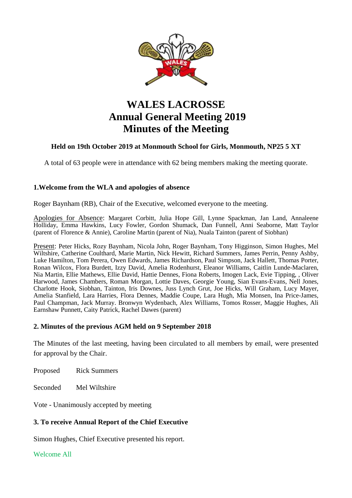

# **WALES LACROSSE Annual General Meeting 2019 Minutes of the Meeting**

# **Held on 19th October 2019 at Monmouth School for Girls, Monmouth, NP25 5 XT**

A total of 63 people were in attendance with 62 being members making the meeting quorate.

## **1.Welcome from the WLA and apologies of absence**

Roger Baynham (RB), Chair of the Executive, welcomed everyone to the meeting.

Apologies for Absence: Margaret Corbitt, Julia Hope Gill, Lynne Spackman, Jan Land, Annaleene Holliday, Emma Hawkins, Lucy Fowler, Gordon Shumack, Dan Funnell, Anni Seaborne, Matt Taylor (parent of Florence & Annie), Caroline Martin (parent of Nia), Nuala Tainton (parent of Siobhan)

Present: Peter Hicks, Rozy Baynham, Nicola John, Roger Baynham, Tony Higginson, Simon Hughes, Mel Wiltshire, Catherine Coulthard, Marie Martin, Nick Hewitt, Richard Summers, James Perrin, Penny Ashby, Luke Hamilton, Tom Perera, Owen Edwards, James Richardson, Paul Simpson, Jack Hallett, Thomas Porter, Ronan Wilcox, Flora Burdett, Izzy David, Amelia Rodenhurst, Eleanor Williams, Caitlin Lunde-Maclaren, Nia Martin, Ellie Mathews, Ellie David, Hattie Dennes, Fiona Roberts, Imogen Lack, Evie Tipping, , Oliver Harwood, James Chambers, Roman Morgan, Lottie Daves, Georgie Young, Sian Evans-Evans, Nell Jones, Charlotte Hook, Siobhan, Tainton, Iris Downes, Juss Lynch Grut, Joe Hicks, Will Graham, Lucy Mayer, Amelia Stanfield, Lara Harries, Flora Dennes, Maddie Coupe, Lara Hugh, Mia Monsen, Ina Price-James, Paul Champman, Jack Murray. Bronwyn Wydenbach, Alex Williams, Tomos Rosser, Maggie Hughes, Ali Earnshaw Punnett, Caity Patrick, Rachel Dawes (parent)

### **2. Minutes of the previous AGM held on 9 September 2018**

The Minutes of the last meeting, having been circulated to all members by email, were presented for approval by the Chair.

Proposed Rick Summers

Seconded Mel Wiltshire

Vote - Unanimously accepted by meeting

## **3. To receive Annual Report of the Chief Executive**

Simon Hughes, Chief Executive presented his report.

Welcome All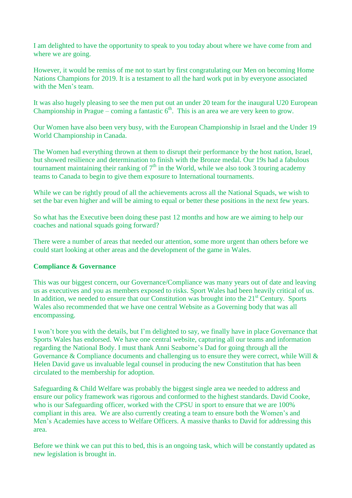I am delighted to have the opportunity to speak to you today about where we have come from and where we are going.

However, it would be remiss of me not to start by first congratulating our Men on becoming Home Nations Champions for 2019. It is a testament to all the hard work put in by everyone associated with the Men's team.

It was also hugely pleasing to see the men put out an under 20 team for the inaugural U20 European Championship in Prague – coming a fantastic  $6<sup>th</sup>$ . This is an area we are very keen to grow.

Our Women have also been very busy, with the European Championship in Israel and the Under 19 World Championship in Canada.

The Women had everything thrown at them to disrupt their performance by the host nation, Israel, but showed resilience and determination to finish with the Bronze medal. Our 19s had a fabulous tournament maintaining their ranking of  $7<sup>th</sup>$  in the World, while we also took 3 touring academy teams to Canada to begin to give them exposure to International tournaments.

While we can be rightly proud of all the achievements across all the National Squads, we wish to set the bar even higher and will be aiming to equal or better these positions in the next few years.

So what has the Executive been doing these past 12 months and how are we aiming to help our coaches and national squads going forward?

There were a number of areas that needed our attention, some more urgent than others before we could start looking at other areas and the development of the game in Wales.

## **Compliance & Governance**

This was our biggest concern, our Governance/Compliance was many years out of date and leaving us as executives and you as members exposed to risks. Sport Wales had been heavily critical of us. In addition, we needed to ensure that our Constitution was brought into the  $21<sup>st</sup>$  Century. Sports Wales also recommended that we have one central Website as a Governing body that was all encompassing.

I won't bore you with the details, but I'm delighted to say, we finally have in place Governance that Sports Wales has endorsed. We have one central website, capturing all our teams and information regarding the National Body. I must thank Anni Seaborne's Dad for going through all the Governance & Compliance documents and challenging us to ensure they were correct, while Will & Helen David gave us invaluable legal counsel in producing the new Constitution that has been circulated to the membership for adoption.

Safeguarding & Child Welfare was probably the biggest single area we needed to address and ensure our policy framework was rigorous and conformed to the highest standards. David Cooke, who is our Safeguarding officer, worked with the CPSU in sport to ensure that we are 100% compliant in this area. We are also currently creating a team to ensure both the Women's and Men's Academies have access to Welfare Officers. A massive thanks to David for addressing this area.

Before we think we can put this to bed, this is an ongoing task, which will be constantly updated as new legislation is brought in.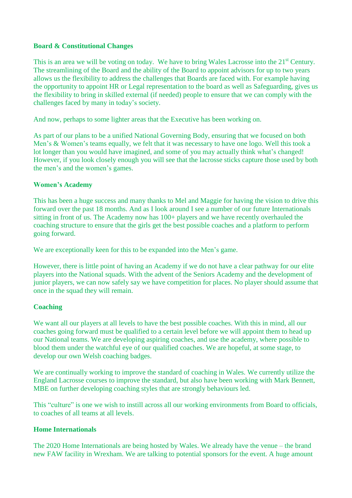### **Board & Constitutional Changes**

This is an area we will be voting on today. We have to bring Wales Lacrosse into the 21<sup>st</sup> Century. The streamlining of the Board and the ability of the Board to appoint advisors for up to two years allows us the flexibility to address the challenges that Boards are faced with. For example having the opportunity to appoint HR or Legal representation to the board as well as Safeguarding, gives us the flexibility to bring in skilled external (if needed) people to ensure that we can comply with the challenges faced by many in today's society.

And now, perhaps to some lighter areas that the Executive has been working on.

As part of our plans to be a unified National Governing Body, ensuring that we focused on both Men's & Women's teams equally, we felt that it was necessary to have one logo. Well this took a lot longer than you would have imagined, and some of you may actually think what's changed! However, if you look closely enough you will see that the lacrosse sticks capture those used by both the men's and the women's games.

### **Women's Academy**

This has been a huge success and many thanks to Mel and Maggie for having the vision to drive this forward over the past 18 months. And as I look around I see a number of our future Internationals sitting in front of us. The Academy now has 100+ players and we have recently overhauled the coaching structure to ensure that the girls get the best possible coaches and a platform to perform going forward.

We are exceptionally keen for this to be expanded into the Men's game.

However, there is little point of having an Academy if we do not have a clear pathway for our elite players into the National squads. With the advent of the Seniors Academy and the development of junior players, we can now safely say we have competition for places. No player should assume that once in the squad they will remain.

### **Coaching**

We want all our players at all levels to have the best possible coaches. With this in mind, all our coaches going forward must be qualified to a certain level before we will appoint them to head up our National teams. We are developing aspiring coaches, and use the academy, where possible to blood them under the watchful eye of our qualified coaches. We are hopeful, at some stage, to develop our own Welsh coaching badges.

We are continually working to improve the standard of coaching in Wales. We currently utilize the England Lacrosse courses to improve the standard, but also have been working with Mark Bennett, MBE on further developing coaching styles that are strongly behaviours led.

This "culture" is one we wish to instill across all our working environments from Board to officials, to coaches of all teams at all levels.

### **Home Internationals**

The 2020 Home Internationals are being hosted by Wales. We already have the venue – the brand new FAW facility in Wrexham. We are talking to potential sponsors for the event. A huge amount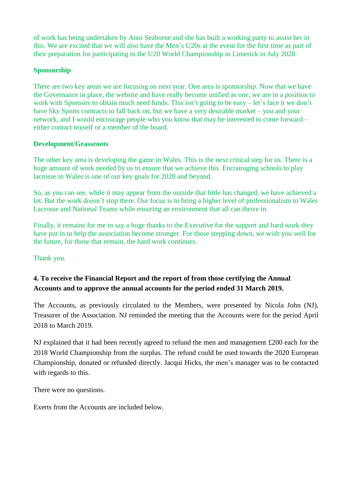of work has being undertaken by Anni Seaborne and she has built a working party to assist her in this. We are excited that we will also have the Men's U20s at the event for the first time as part of their preparation for participating in the U20 World Championship in Limerick in July 2020.

# **Sponsorship**

There are two key areas we are focusing on next year. One area is sponsorship. Now that we have the Governance in place, the website and have really become unified as one, we are in a position to work with Sponsors to obtain much need funds. This isn't going to be easy – let's face it we don't have Sky Sports contracts to fall back on, but we have a very desirable market – you and your network, and I would encourage people who you know that may be interested to come forward – either contact myself or a member of the board.

# **Development/Grassroots**

The other key area is developing the game in Wales. This is the next critical step for us. There is a huge amount of work needed by us to ensure that we achieve this. Encouraging schools to play lacrosse in Wales is one of our key goals for 2020 and beyond.

So, as you can see, while it may appear from the outside that little has changed, we have achieved a lot. But the work doesn't stop there. Our focus is to bring a higher level of professionalism to Wales Lacrosse and National Teams while ensuring an environment that all can thrive in.

Finally, it remains for me to say a huge thanks to the Executive for the support and hard work they have put in to help the association become stronger. For those stepping down, we wish you well for the future, for those that remain, the hard work continues.

## Thank you.

# **4. To receive the Financial Report and the report of from those certifying the Annual Accounts and to approve the annual accounts for the period ended 31 March 2019.**

The Accounts, as previously circulated to the Members, were presented by Nicola John (NJ), Treasurer of the Association. NJ reminded the meeting that the Accounts were for the period April 2018 to March 2019.

NJ explained that it had been recently agreed to refund the men and management £200 each for the 2018 World Championship from the surplus. The refund could be used towards the 2020 European Championship, donated or refunded directly. Jacqui Hicks, the men's manager was to be contacted with regards to this.

There were no questions.

Exerts from the Accounts are included below.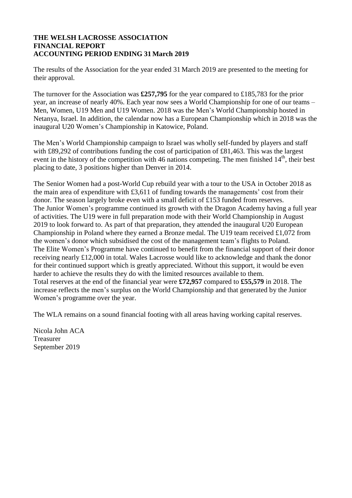### **THE WELSH LACROSSE ASSOCIATION FINANCIAL REPORT ACCOUNTING PERIOD ENDING 31 March 2019**

The results of the Association for the year ended 31 March 2019 are presented to the meeting for their approval.

The turnover for the Association was **£257,795** for the year compared to £185,783 for the prior year, an increase of nearly 40%. Each year now sees a World Championship for one of our teams – Men, Women, U19 Men and U19 Women. 2018 was the Men's World Championship hosted in Netanya, Israel. In addition, the calendar now has a European Championship which in 2018 was the inaugural U20 Women's Championship in Katowice, Poland.

The Men's World Championship campaign to Israel was wholly self-funded by players and staff with £89,292 of contributions funding the cost of participation of £81,463. This was the largest event in the history of the competition with 46 nations competing. The men finished 14<sup>th</sup>, their best placing to date, 3 positions higher than Denver in 2014.

The Senior Women had a post-World Cup rebuild year with a tour to the USA in October 2018 as the main area of expenditure with £3,611 of funding towards the managements' cost from their donor. The season largely broke even with a small deficit of £153 funded from reserves. The Junior Women's programme continued its growth with the Dragon Academy having a full year of activities. The U19 were in full preparation mode with their World Championship in August 2019 to look forward to. As part of that preparation, they attended the inaugural U20 European Championship in Poland where they earned a Bronze medal. The U19 team received £1,072 from the women's donor which subsidised the cost of the management team's flights to Poland. The Elite Women's Programme have continued to benefit from the financial support of their donor receiving nearly £12,000 in total. Wales Lacrosse would like to acknowledge and thank the donor for their continued support which is greatly appreciated. Without this support, it would be even harder to achieve the results they do with the limited resources available to them. Total reserves at the end of the financial year were **£72,957** compared to **£55,579** in 2018. The increase reflects the men's surplus on the World Championship and that generated by the Junior Women's programme over the year.

The WLA remains on a sound financial footing with all areas having working capital reserves.

Nicola John ACA Treasurer September 2019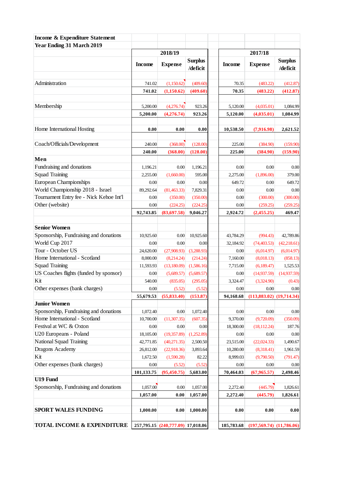| <b>Income &amp; Expenditure Statement</b>                  |                      |                                   |                            |                      |                            |                            |
|------------------------------------------------------------|----------------------|-----------------------------------|----------------------------|----------------------|----------------------------|----------------------------|
| Year Ending 31 March 2019                                  |                      |                                   |                            |                      |                            |                            |
|                                                            |                      | 2018/19                           |                            | 2017/18              |                            |                            |
|                                                            | <b>Income</b>        | <b>Expense</b>                    | <b>Surplus</b><br>/deficit | <b>Income</b>        | <b>Expense</b>             | <b>Surplus</b><br>/deficit |
|                                                            |                      |                                   |                            |                      |                            |                            |
| Administration                                             | 741.02               | (1,150.62)                        | (409.60)                   | 70.35                | (483.22)                   | (412.87)                   |
|                                                            | 741.02               | (1,150.62)                        | (409.60)                   | 70.35                | (483.22)                   | (412.87)                   |
| Membership                                                 | 5,200.00             | (4,276.74)                        | 923.26                     | 5,120.00             | (4,035.01)                 | 1,084.99                   |
|                                                            | 5,200.00             | (4,276.74)                        | 923.26                     | 5,120.00             | (4,035.01)                 | 1,084.99                   |
| Home International Hosting                                 | 0.00                 | 0.00                              | 0.00                       | 10,538.50            | (7,916.98)                 | 2,621.52                   |
|                                                            |                      |                                   |                            |                      |                            |                            |
| Coach/Officials/Development                                | 240.00               | (368.00)                          | (128.00)                   | 225.00               | (384.90)                   | (159.90)                   |
|                                                            | 240.00               | (368.00)                          | (128.00)                   | 225.00               | (384.90)                   | (159.90)                   |
| Men                                                        |                      |                                   |                            |                      |                            |                            |
| Fundraising and donations                                  | 1,196.21             | 0.00                              | 1,196.21                   | 0.00                 | 0.00                       | 0.00                       |
| <b>Squad Training</b>                                      | 2,255.00             | (1,660.00)                        | 595.00                     | 2,275.00             | (1,896.00)                 | 379.00                     |
| <b>European Championships</b>                              | 0.00                 | 0.00                              | 0.00                       | 649.72               | 0.00                       | 649.72                     |
| World Championship 2018 - Israel                           | 89,292.64            | (81, 463.33)                      | 7,829.31                   | 0.00                 | 0.00                       | 0.00                       |
| Tournament Entry fee - Nick Kehoe Int'l<br>Other (website) | 0.00                 | (350.00)                          | (350.00)                   | 0.00                 | (300.00)                   | (300.00)                   |
|                                                            | 0.00<br>92,743.85    | (224.25)<br>(83,697.58)           | (224.25)<br>9,046.27       | 0.00<br>2,924.72     | (259.25)<br>(2,455.25)     | (259.25)<br>469.47         |
|                                                            |                      |                                   |                            |                      |                            |                            |
| <b>Senior Women</b>                                        |                      |                                   |                            |                      |                            |                            |
| Sponsorship, Fundraising and donations                     | 10,925.60            | 0.00                              | 10,925.60                  | 43,784.29            | (994.43)                   | 42,789.86                  |
| World Cup 2017                                             | 0.00                 | 0.00                              | 0.00                       | 32,184.92            | (74, 403.53)               | (42, 218.61)               |
| Tour - October US                                          | 24,620.00            | (27,908.93)                       | (3,288.93)                 | 0.00                 | (6,014.97)                 | (6,014.97)                 |
| Home International - Scotland                              | 8,000.00             | (8,214.24)                        | (214.24)                   | 7,160.00             | (8,018.13)                 | (858.13)                   |
| <b>Squad Training</b>                                      | 11,593.93            | (13,180.09)                       | (1,586.16)                 | 7,715.00             | (6,189.47)                 | 1,525.53                   |
| US Coaches flights (funded by sponsor)                     | 0.00                 | (5,689.57)                        | (5,689.57)                 | 0.00                 | (14, 937.59)               | (14, 937.59)               |
| Kit                                                        | 540.00               | (835.05)                          | (295.05)                   | 3,324.47             | (3,324.90)                 | (0.43)                     |
| Other expenses (bank charges)                              | 0.00                 | (5.52)                            | (5.52)                     | 0.00                 | 0.00                       | 0.00                       |
|                                                            | 55,679.53            | (55, 833.40)                      | (153.87)                   | 94,168.68            | $(113,883.02)$ (19,714.34) |                            |
| <b>Junior Women</b>                                        |                      |                                   |                            |                      |                            |                            |
| Sponsorship, Fundraising and donations                     | 1,072.40             | 0.00                              | 1,072.40                   | 0.00                 | 0.00                       | 0.00                       |
| Home International - Scotland                              | 10,700.00            | (11, 307.35)                      | (607.35)                   | 9,370.00             | (9,720.09)                 | (350.09)                   |
| Festival at WC & Oxton                                     | 0.00                 | 0.00                              | 0.00                       | 18,300.00            | (18, 112.24)               | 187.76                     |
| U20 Europeans - Poland                                     | 18,105.00            | (19, 357.89)                      | (1,252.89)                 | 0.00                 | 0.00                       | 0.00                       |
| <b>National Squad Training</b>                             | 42,771.85            | (40,271.35)                       | 2,500.50                   | 23,515.00            | (22,024.33)                | 1,490.67                   |
| Dragons Academy                                            | 26,812.00            | (22,918.36)                       | 3,893.64                   | 10,280.00            | (8,318.41)                 | 1,961.59                   |
| Kit                                                        | 1,672.50             | (1,590.28)                        | 82.22                      | 8,999.03             | (9,790.50)                 | (791.47)                   |
| Other expenses (bank charges)                              | 0.00                 | (5.52)                            | (5.52)                     | 0.00                 | 0.00                       | 0.00                       |
| U19 Fund                                                   | 101,133.75           | (95, 450.75)                      | 5,683.00                   | 70,464.03            | (67,965.57)                | 2,498.46                   |
|                                                            |                      |                                   |                            |                      |                            |                            |
| Sponsorship, Fundraising and donations                     | 1,057.00<br>1,057.00 | 0.00<br>0.00                      | 1,057.00<br>1,057.00       | 2,272.40<br>2,272.40 | (445.79)<br>(445.79)       | 1,826.61<br>1,826.61       |
|                                                            |                      |                                   |                            |                      |                            |                            |
| <b>SPORT WALES FUNDING</b>                                 | 1,000.00             | 0.00                              | 1,000.00                   | 0.00                 | 0.00                       | 0.00                       |
| TOTAL INCOME & EXPENDITURE                                 |                      | 257,795.15 (240,777.09) 17,018.06 |                            | 185,783.68           | $(197,569.74)$ (11,786.06) |                            |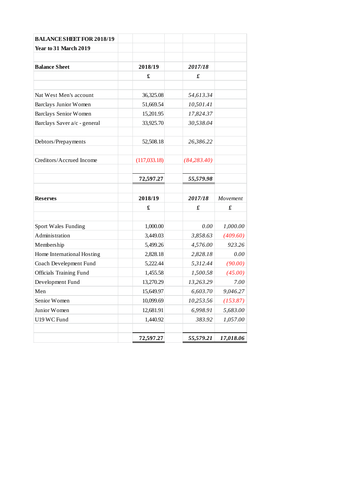| <b>BALANCE SHEET FOR 2018/19</b> |               |               |           |
|----------------------------------|---------------|---------------|-----------|
| Year to 31 March 2019            |               |               |           |
|                                  |               |               |           |
| <b>Balance Sheet</b>             | 2018/19       | 2017/18       |           |
|                                  | £             | £             |           |
|                                  |               |               |           |
| Nat West Men's account           | 36,325.08     | 54,613.34     |           |
| Barclays Junior Women            | 51,669.54     | 10,501.41     |           |
| <b>Barclays Senior Women</b>     | 15,201.95     | 17,824.37     |           |
| Barclays Saver a/c - general     | 33,925.70     | 30,538.04     |           |
|                                  |               |               |           |
| Debtors/Prepayments              | 52,508.18     | 26,386.22     |           |
| Creditors/Accrued Income         | (117, 033.18) | (84, 283, 40) |           |
|                                  |               |               |           |
|                                  | 72,597.27     | 55,579.98     |           |
| <b>Reserves</b>                  | 2018/19       | 2017/18       | Movement  |
|                                  | £             | £             | £         |
| Sport Wales Funding              | 1,000.00      | 0.00          | 1,000.00  |
| Administration                   | 3,449.03      | 3,858.63      | (409.60)  |
| Membership                       | 5,499.26      | 4,576.00      | 923.26    |
| Home International Hosting       | 2,828.18      | 2,828.18      | 0.00      |
| Coach Develepment Fund           | 5,222.44      | 5,312.44      | (90.00)   |
| <b>Officials Training Fund</b>   | 1,455.58      | 1,500.58      | (45.00)   |
| Development Fund                 | 13,270.29     | 13,263.29     | 7.00      |
| Men                              | 15,649.97     | 6,603.70      | 9,046.27  |
| Senior Women                     | 10,099.69     | 10,253.56     | (153.87)  |
| Junior Women                     | 12,681.91     | 6,998.91      | 5,683.00  |
| U19 WC Fund                      | 1,440.92      | 383.92        | 1,057.00  |
|                                  |               |               |           |
|                                  | 72,597.27     | 55,579.21     | 17,018.06 |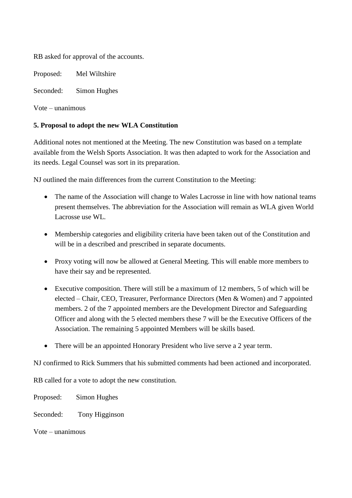RB asked for approval of the accounts.

Proposed: Mel Wiltshire

Seconded: Simon Hughes

Vote – unanimous

## **5. Proposal to adopt the new WLA Constitution**

Additional notes not mentioned at the Meeting. The new Constitution was based on a template available from the Welsh Sports Association. It was then adapted to work for the Association and its needs. Legal Counsel was sort in its preparation.

NJ outlined the main differences from the current Constitution to the Meeting:

- The name of the Association will change to Wales Lacrosse in line with how national teams present themselves. The abbreviation for the Association will remain as WLA given World Lacrosse use WL.
- Membership categories and eligibility criteria have been taken out of the Constitution and will be in a described and prescribed in separate documents.
- Proxy voting will now be allowed at General Meeting. This will enable more members to have their say and be represented.
- Executive composition. There will still be a maximum of 12 members, 5 of which will be elected – Chair, CEO, Treasurer, Performance Directors (Men & Women) and 7 appointed members. 2 of the 7 appointed members are the Development Director and Safeguarding Officer and along with the 5 elected members these 7 will be the Executive Officers of the Association. The remaining 5 appointed Members will be skills based.
- There will be an appointed Honorary President who live serve a 2 year term.

NJ confirmed to Rick Summers that his submitted comments had been actioned and incorporated.

RB called for a vote to adopt the new constitution.

Proposed: Simon Hughes

Seconded: Tony Higginson

Vote – unanimous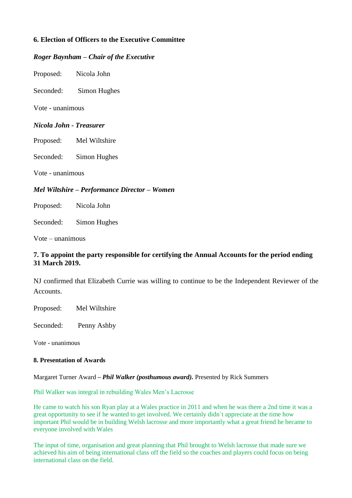# **6. Election of Officers to the Executive Committee**

### *Roger Baynham – Chair of the Executive*

Proposed: Nicola John

Seconded: Simon Hughes

Vote - unanimous

### *Nicola John - Treasurer*

Proposed: Mel Wiltshire

Seconded: Simon Hughes

Vote - unanimous

### *Mel Wiltshire – Performance Director – Women*

Proposed: Nicola John

Seconded: Simon Hughes

Vote – unanimous

### **7. To appoint the party responsible for certifying the Annual Accounts for the period ending 31 March 2019.**

NJ confirmed that Elizabeth Currie was willing to continue to be the Independent Reviewer of the Accounts.

Proposed: Mel Wiltshire

Seconded: Penny Ashby

Vote - unanimous

#### **8. Presentation of Awards**

Margaret Turner Award *– Phil Walker (posthumous award).* Presented by Rick Summers

Phil Walker was integral in rebuilding Wales Men's Lacrosse

He came to watch his son Ryan play at a Wales practice in 2011 and when he was there a 2nd time it was a great opportunity to see if he wanted to get involved. We certainly didn`t appreciate at the time how important Phil would be in building Welsh lacrosse and more importantly what a great friend he became to everyone involved with Wales

The input of time, organisation and great planning that Phil brought to Welsh lacrosse that made sure we achieved his aim of being international class off the field so the coaches and players could focus on being international class on the field.